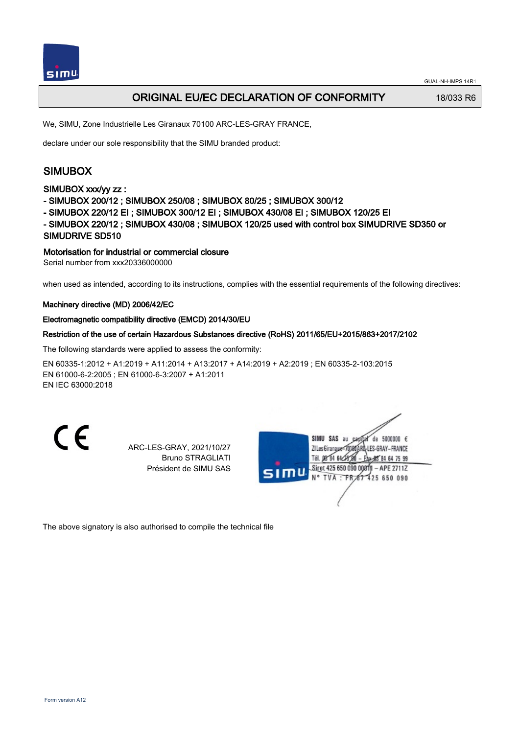

# ORIGINAL EU/EC DECLARATION OF CONFORMITY 18/033 R6

We, SIMU, Zone Industrielle Les Giranaux 70100 ARC-LES-GRAY FRANCE,

declare under our sole responsibility that the SIMU branded product:

# SIMUBOX

## SIMUBOX xxx/yy zz :

- SIMUBOX 200/12 ; SIMUBOX 250/08 ; SIMUBOX 80/25 ; SIMUBOX 300/12
- SIMUBOX 220/12 EI ; SIMUBOX 300/12 EI ; SIMUBOX 430/08 EI ; SIMUBOX 120/25 EI

- SIMUBOX 220/12 ; SIMUBOX 430/08 ; SIMUBOX 120/25 used with control box SIMUDRIVE SD350 or SIMUDRIVE SD510

# Motorisation for industrial or commercial closure

Serial number from xxx20336000000

when used as intended, according to its instructions, complies with the essential requirements of the following directives:

### Machinery directive (MD) 2006/42/EC

### Electromagnetic compatibility directive (EMCD) 2014/30/EU

### Restriction of the use of certain Hazardous Substances directive (RoHS) 2011/65/EU+2015/863+2017/2102

The following standards were applied to assess the conformity:

EN 60335‑1:2012 + A1:2019 + A11:2014 + A13:2017 + A14:2019 + A2:2019 ; EN 60335‑2‑103:2015 EN 61000‑6‑2:2005 ; EN 61000‑6‑3:2007 + A1:2011 EN IEC 63000:2018

CE

ARC-LES-GRAY, 2021/10/27 Bruno STRAGLIATI Président de SIMU SAS



The above signatory is also authorised to compile the technical file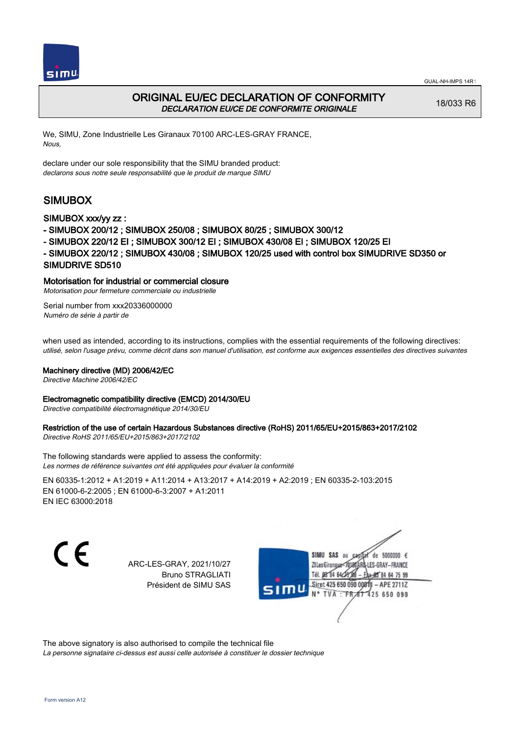



# ORIGINAL EU/EC DECLARATION OF CONFORMITY DECLARATION EU/CE DE CONFORMITE ORIGINALE

18/033 R6

We, SIMU, Zone Industrielle Les Giranaux 70100 ARC-LES-GRAY FRANCE, Nous,

declare under our sole responsibility that the SIMU branded product: declarons sous notre seule responsabilité que le produit de marque SIMU

# SIMUBOX

## SIMUBOX xxx/yy zz :

- SIMUBOX 200/12 ; SIMUBOX 250/08 ; SIMUBOX 80/25 ; SIMUBOX 300/12
- SIMUBOX 220/12 EI ; SIMUBOX 300/12 EI ; SIMUBOX 430/08 EI ; SIMUBOX 120/25 EI
- SIMUBOX 220/12 ; SIMUBOX 430/08 ; SIMUBOX 120/25 used with control box SIMUDRIVE SD350 or SIMUDRIVE SD510

## Motorisation for industrial or commercial closure

Motorisation pour fermeture commerciale ou industrielle

Serial number from xxx20336000000 Numéro de série à partir de

when used as intended, according to its instructions, complies with the essential requirements of the following directives: utilisé, selon l'usage prévu, comme décrit dans son manuel d'utilisation, est conforme aux exigences essentielles des directives suivantes

### Machinery directive (MD) 2006/42/EC

Directive Machine 2006/42/EC

#### Electromagnetic compatibility directive (EMCD) 2014/30/EU

Directive compatibilité électromagnétique 2014/30/EU

# Restriction of the use of certain Hazardous Substances directive (RoHS) 2011/65/EU+2015/863+2017/2102

Directive RoHS 2011/65/EU+2015/863+2017/2102

The following standards were applied to assess the conformity: Les normes de référence suivantes ont été appliquées pour évaluer la conformité

EN 60335‑1:2012 + A1:2019 + A11:2014 + A13:2017 + A14:2019 + A2:2019 ; EN 60335‑2‑103:2015 EN 61000‑6‑2:2005 ; EN 61000‑6‑3:2007 + A1:2011 EN IEC 63000:2018

C E

ARC-LES-GRAY, 2021/10/27 Bruno STRAGLIATI Président de SIMU SAS



The above signatory is also authorised to compile the technical file La personne signataire ci-dessus est aussi celle autorisée à constituer le dossier technique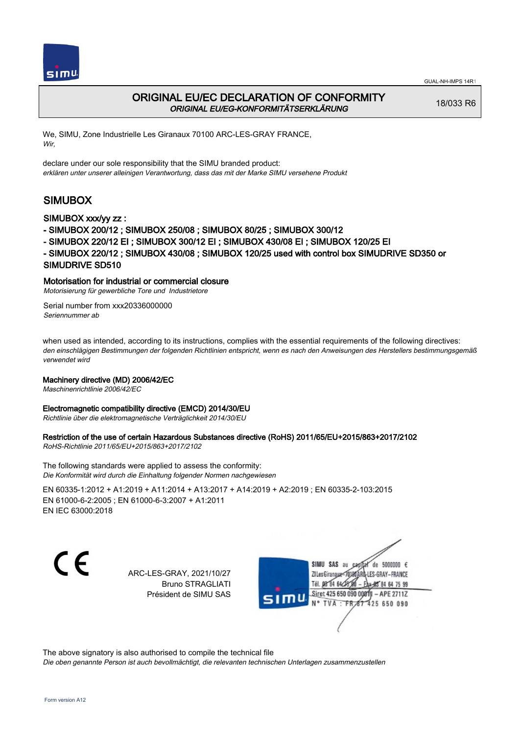



# ORIGINAL EU/EC DECLARATION OF CONFORMITY ORIGINAL EU/EG-KONFORMITÄTSERKLÄRUNG

18/033 R6

We, SIMU, Zone Industrielle Les Giranaux 70100 ARC-LES-GRAY FRANCE, Wir,

declare under our sole responsibility that the SIMU branded product: erklären unter unserer alleinigen Verantwortung, dass das mit der Marke SIMU versehene Produkt

# SIMUBOX

### SIMUBOX xxx/yy zz :

- SIMUBOX 200/12 ; SIMUBOX 250/08 ; SIMUBOX 80/25 ; SIMUBOX 300/12
- SIMUBOX 220/12 EI ; SIMUBOX 300/12 EI ; SIMUBOX 430/08 EI ; SIMUBOX 120/25 EI
- SIMUBOX 220/12 ; SIMUBOX 430/08 ; SIMUBOX 120/25 used with control box SIMUDRIVE SD350 or SIMUDRIVE SD510

## Motorisation for industrial or commercial closure

Motorisierung für gewerbliche Tore und Industrietore

Serial number from xxx20336000000 Seriennummer ab

when used as intended, according to its instructions, complies with the essential requirements of the following directives: den einschlägigen Bestimmungen der folgenden Richtlinien entspricht, wenn es nach den Anweisungen des Herstellers bestimmungsgemäß verwendet wird

### Machinery directive (MD) 2006/42/EC

Maschinenrichtlinie 2006/42/EC

#### Electromagnetic compatibility directive (EMCD) 2014/30/EU

Richtlinie über die elektromagnetische Verträglichkeit 2014/30/EU

### Restriction of the use of certain Hazardous Substances directive (RoHS) 2011/65/EU+2015/863+2017/2102

RoHS-Richtlinie 2011/65/EU+2015/863+2017/2102

The following standards were applied to assess the conformity: Die Konformität wird durch die Einhaltung folgender Normen nachgewiesen

EN 60335‑1:2012 + A1:2019 + A11:2014 + A13:2017 + A14:2019 + A2:2019 ; EN 60335‑2‑103:2015 EN 61000‑6‑2:2005 ; EN 61000‑6‑3:2007 + A1:2011 EN IEC 63000:2018

C E

ARC-LES-GRAY, 2021/10/27 Bruno STRAGLIATI Président de SIMU SAS



The above signatory is also authorised to compile the technical file

Die oben genannte Person ist auch bevollmächtigt, die relevanten technischen Unterlagen zusammenzustellen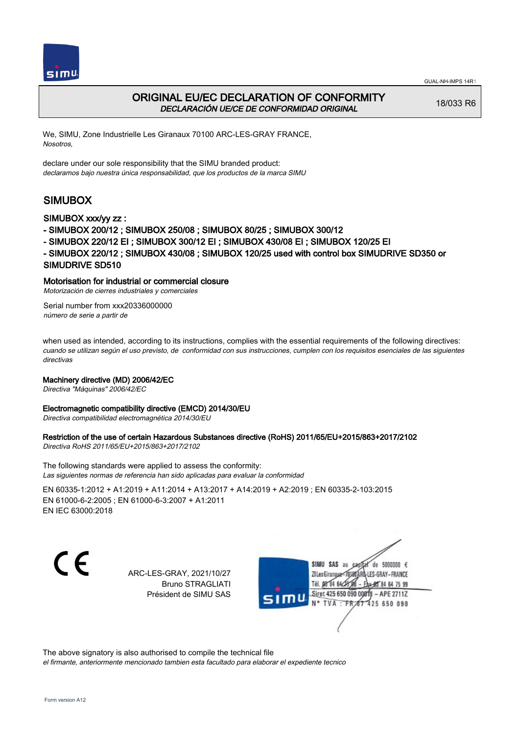



# ORIGINAL EU/EC DECLARATION OF CONFORMITY DECLARACIÓN UE/CE DE CONFORMIDAD ORIGINAL

18/033 R6

We, SIMU, Zone Industrielle Les Giranaux 70100 ARC-LES-GRAY FRANCE, Nosotros,

declare under our sole responsibility that the SIMU branded product: declaramos bajo nuestra única responsabilidad, que los productos de la marca SIMU

# SIMUBOX

## SIMUBOX xxx/yy zz :

- SIMUBOX 200/12 ; SIMUBOX 250/08 ; SIMUBOX 80/25 ; SIMUBOX 300/12
- SIMUBOX 220/12 EI ; SIMUBOX 300/12 EI ; SIMUBOX 430/08 EI ; SIMUBOX 120/25 EI
- SIMUBOX 220/12 ; SIMUBOX 430/08 ; SIMUBOX 120/25 used with control box SIMUDRIVE SD350 or SIMUDRIVE SD510

## Motorisation for industrial or commercial closure

Motorización de cierres industriales y comerciales

Serial number from xxx20336000000 número de serie a partir de

when used as intended, according to its instructions, complies with the essential requirements of the following directives: cuando se utilizan según el uso previsto, de conformidad con sus instrucciones, cumplen con los requisitos esenciales de las siguientes directivas

### Machinery directive (MD) 2006/42/EC

Directiva "Máquinas" 2006/42/EC

### Electromagnetic compatibility directive (EMCD) 2014/30/EU

Directiva compatibilidad electromagnética 2014/30/EU

### Restriction of the use of certain Hazardous Substances directive (RoHS) 2011/65/EU+2015/863+2017/2102

Directiva RoHS 2011/65/EU+2015/863+2017/2102

The following standards were applied to assess the conformity: Las siguientes normas de referencia han sido aplicadas para evaluar la conformidad

EN 60335‑1:2012 + A1:2019 + A11:2014 + A13:2017 + A14:2019 + A2:2019 ; EN 60335‑2‑103:2015 EN 61000‑6‑2:2005 ; EN 61000‑6‑3:2007 + A1:2011 EN IEC 63000:2018

C E

ARC-LES-GRAY, 2021/10/27 Bruno STRAGLIATI Président de SIMU SAS



The above signatory is also authorised to compile the technical file el firmante, anteriormente mencionado tambien esta facultado para elaborar el expediente tecnico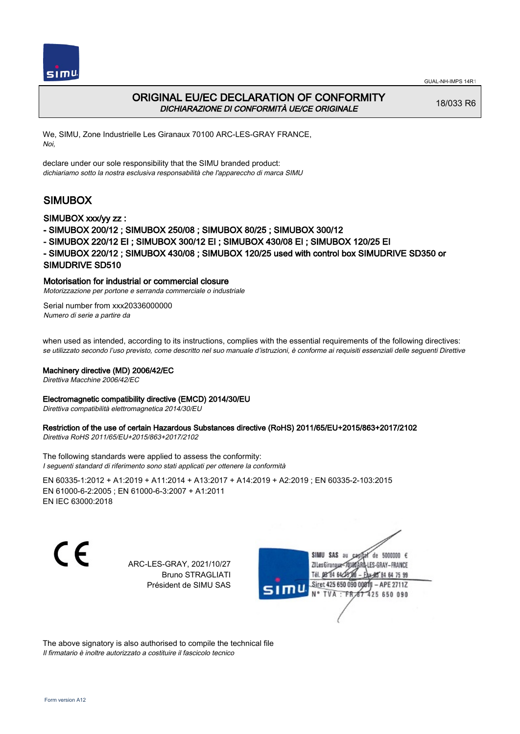



# ORIGINAL EU/EC DECLARATION OF CONFORMITY DICHIARAZIONE DI CONFORMITÀ UE/CE ORIGINALE

18/033 R6

We, SIMU, Zone Industrielle Les Giranaux 70100 ARC-LES-GRAY FRANCE, Noi,

declare under our sole responsibility that the SIMU branded product: dichiariamo sotto la nostra esclusiva responsabilità che l'appareccho di marca SIMU

# SIMUBOX

## SIMUBOX xxx/yy zz :

- SIMUBOX 200/12 ; SIMUBOX 250/08 ; SIMUBOX 80/25 ; SIMUBOX 300/12
- SIMUBOX 220/12 EI ; SIMUBOX 300/12 EI ; SIMUBOX 430/08 EI ; SIMUBOX 120/25 EI
- SIMUBOX 220/12 ; SIMUBOX 430/08 ; SIMUBOX 120/25 used with control box SIMUDRIVE SD350 or SIMUDRIVE SD510

## Motorisation for industrial or commercial closure

Motorizzazione per portone e serranda commerciale o industriale

Serial number from xxx20336000000 Numero di serie a partire da

when used as intended, according to its instructions, complies with the essential requirements of the following directives: se utilizzato secondo l'uso previsto, come descritto nel suo manuale d'istruzioni, è conforme ai requisiti essenziali delle seguenti Direttive

### Machinery directive (MD) 2006/42/EC

Direttiva Macchine 2006/42/EC

### Electromagnetic compatibility directive (EMCD) 2014/30/EU

Direttiva compatibilità elettromagnetica 2014/30/EU

# Restriction of the use of certain Hazardous Substances directive (RoHS) 2011/65/EU+2015/863+2017/2102

Direttiva RoHS 2011/65/EU+2015/863+2017/2102

The following standards were applied to assess the conformity: I seguenti standard di riferimento sono stati applicati per ottenere la conformità

EN 60335‑1:2012 + A1:2019 + A11:2014 + A13:2017 + A14:2019 + A2:2019 ; EN 60335‑2‑103:2015 EN 61000‑6‑2:2005 ; EN 61000‑6‑3:2007 + A1:2011 EN IEC 63000:2018

CE

ARC-LES-GRAY, 2021/10/27 Bruno STRAGLIATI Président de SIMU SAS



The above signatory is also authorised to compile the technical file Il firmatario è inoltre autorizzato a costituire il fascicolo tecnico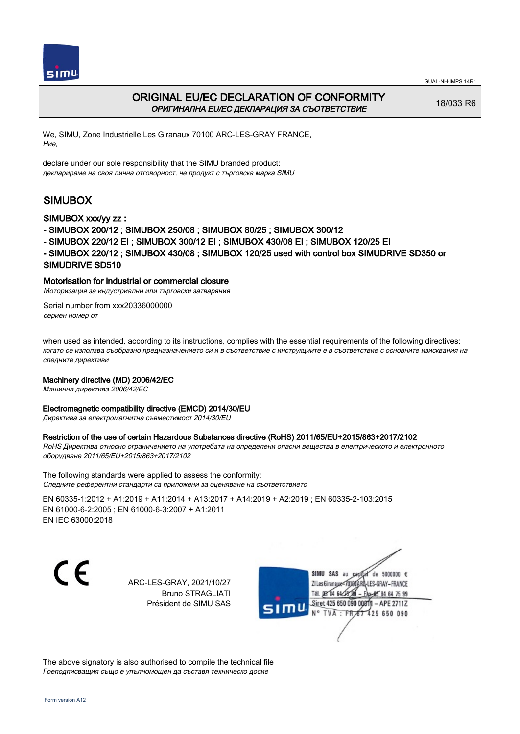



# ORIGINAL EU/EC DECLARATION OF CONFORMITY ОРИГИНАЛНА EU/EC ДЕКЛАРАЦИЯ ЗА СЪОТВЕТСТВИЕ

18/033 R6

We, SIMU, Zone Industrielle Les Giranaux 70100 ARC-LES-GRAY FRANCE, Ние,

declare under our sole responsibility that the SIMU branded product: декларираме на своя лична отговорност, че продукт с търговска марка SIMU

# SIMUBOX

## SIMUBOX xxx/yy zz :

- SIMUBOX 200/12 ; SIMUBOX 250/08 ; SIMUBOX 80/25 ; SIMUBOX 300/12
- SIMUBOX 220/12 EI ; SIMUBOX 300/12 EI ; SIMUBOX 430/08 EI ; SIMUBOX 120/25 EI
- SIMUBOX 220/12 ; SIMUBOX 430/08 ; SIMUBOX 120/25 used with control box SIMUDRIVE SD350 or SIMUDRIVE SD510

## Motorisation for industrial or commercial closure

Моторизация за индустриални или търговски затваряния

Serial number from xxx20336000000 сериен номер от

when used as intended, according to its instructions, complies with the essential requirements of the following directives: когато се използва съобразно предназначението си и в съответствие с инструкциите е в съответствие с основните изисквания на следните директиви

### Machinery directive (MD) 2006/42/EC

Машинна директива 2006/42/EC

### Electromagnetic compatibility directive (EMCD) 2014/30/EU

Директива за електромагнитна съвместимост 2014/30/EU

### Restriction of the use of certain Hazardous Substances directive (RoHS) 2011/65/EU+2015/863+2017/2102

RoHS Директива относно ограничението на употребата на определени опасни вещества в електрическото и електронното оборудване 2011/65/EU+2015/863+2017/2102

The following standards were applied to assess the conformity: Следните референтни стандарти са приложени за оценяване на съответствието

EN 60335‑1:2012 + A1:2019 + A11:2014 + A13:2017 + A14:2019 + A2:2019 ; EN 60335‑2‑103:2015 EN 61000‑6‑2:2005 ; EN 61000‑6‑3:2007 + A1:2011 EN IEC 63000:2018

C E

ARC-LES-GRAY, 2021/10/27 Bruno STRAGLIATI Président de SIMU SAS



The above signatory is also authorised to compile the technical file Гоеподписващия също е упълномощен да съставя техническо досие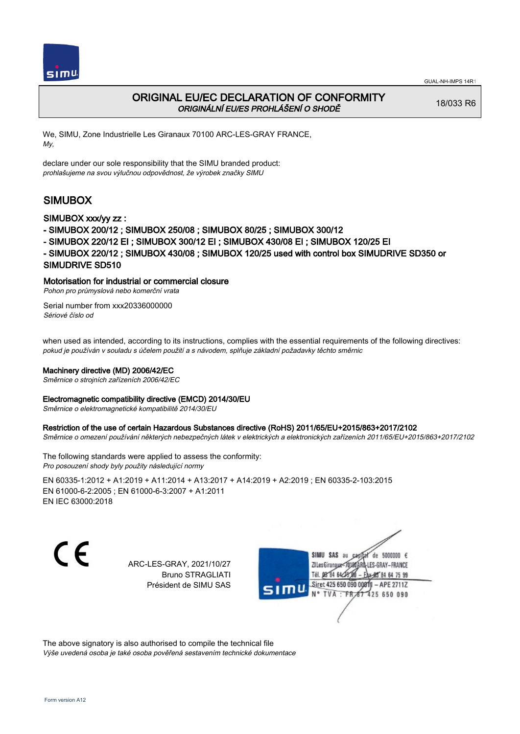

# ORIGINAL EU/EC DECLARATION OF CONFORMITY ORIGINÁLNÍ EU/ES PROHLÁŠENÍ O SHODĚ

18/033 R6

We, SIMU, Zone Industrielle Les Giranaux 70100 ARC-LES-GRAY FRANCE, My,

declare under our sole responsibility that the SIMU branded product: prohlašujeme na svou výlučnou odpovědnost, že výrobek značky SIMU

# SIMUBOX

## SIMUBOX xxx/yy zz :

- SIMUBOX 200/12 ; SIMUBOX 250/08 ; SIMUBOX 80/25 ; SIMUBOX 300/12
- SIMUBOX 220/12 EI ; SIMUBOX 300/12 EI ; SIMUBOX 430/08 EI ; SIMUBOX 120/25 EI
- SIMUBOX 220/12 ; SIMUBOX 430/08 ; SIMUBOX 120/25 used with control box SIMUDRIVE SD350 or SIMUDRIVE SD510

## Motorisation for industrial or commercial closure

Pohon pro průmyslová nebo komerční vrata

Serial number from xxx20336000000 Sériové číslo od

when used as intended, according to its instructions, complies with the essential requirements of the following directives: pokud je používán v souladu s účelem použití a s návodem, splňuje základní požadavky těchto směrnic

### Machinery directive (MD) 2006/42/EC

Směrnice o strojních zařízeních 2006/42/EC

### Electromagnetic compatibility directive (EMCD) 2014/30/EU

Směrnice o elektromagnetické kompatibilitě 2014/30/EU

#### Restriction of the use of certain Hazardous Substances directive (RoHS) 2011/65/EU+2015/863+2017/2102

Směrnice o omezení používání některých nebezpečných látek v elektrických a elektronických zařízeních 2011/65/EU+2015/863+2017/2102

The following standards were applied to assess the conformity: Pro posouzení shody byly použity následující normy

EN 60335‑1:2012 + A1:2019 + A11:2014 + A13:2017 + A14:2019 + A2:2019 ; EN 60335‑2‑103:2015 EN 61000‑6‑2:2005 ; EN 61000‑6‑3:2007 + A1:2011 EN IEC 63000:2018

C E

ARC-LES-GRAY, 2021/10/27 Bruno STRAGLIATI Président de SIMU SAS



The above signatory is also authorised to compile the technical file Výše uvedená osoba je také osoba pověřená sestavením technické dokumentace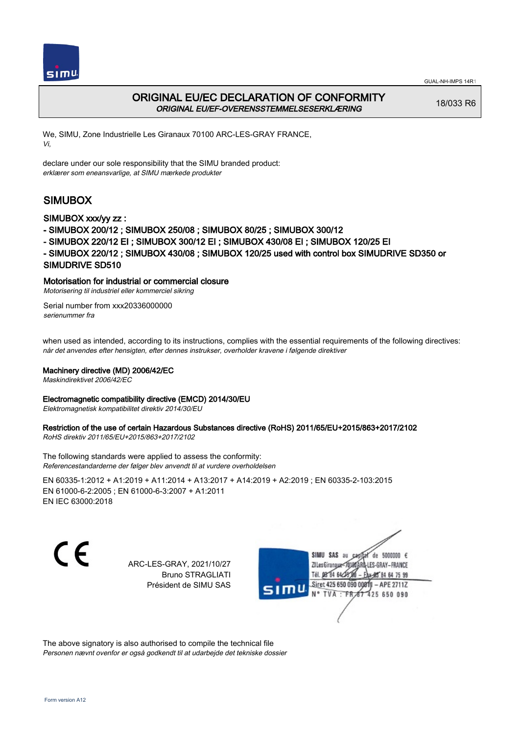



# ORIGINAL EU/EC DECLARATION OF CONFORMITY ORIGINAL EU/EF-OVERENSSTEMMELSESERKLÆRING

18/033 R6

We, SIMU, Zone Industrielle Les Giranaux 70100 ARC-LES-GRAY FRANCE, Vi,

declare under our sole responsibility that the SIMU branded product: erklærer som eneansvarlige, at SIMU mærkede produkter

# SIMUBOX

## SIMUBOX xxx/yy zz :

- SIMUBOX 200/12 ; SIMUBOX 250/08 ; SIMUBOX 80/25 ; SIMUBOX 300/12
- SIMUBOX 220/12 EI ; SIMUBOX 300/12 EI ; SIMUBOX 430/08 EI ; SIMUBOX 120/25 EI
- SIMUBOX 220/12 ; SIMUBOX 430/08 ; SIMUBOX 120/25 used with control box SIMUDRIVE SD350 or SIMUDRIVE SD510

## Motorisation for industrial or commercial closure

Motorisering til industriel eller kommerciel sikring

Serial number from xxx20336000000 serienummer fra

when used as intended, according to its instructions, complies with the essential requirements of the following directives: når det anvendes efter hensigten, efter dennes instrukser, overholder kravene i følgende direktiver

### Machinery directive (MD) 2006/42/EC

Maskindirektivet 2006/42/EC

### Electromagnetic compatibility directive (EMCD) 2014/30/EU

Elektromagnetisk kompatibilitet direktiv 2014/30/EU

# Restriction of the use of certain Hazardous Substances directive (RoHS) 2011/65/EU+2015/863+2017/2102

RoHS direktiv 2011/65/EU+2015/863+2017/2102

The following standards were applied to assess the conformity: Referencestandarderne der følger blev anvendt til at vurdere overholdelsen

EN 60335‑1:2012 + A1:2019 + A11:2014 + A13:2017 + A14:2019 + A2:2019 ; EN 60335‑2‑103:2015 EN 61000‑6‑2:2005 ; EN 61000‑6‑3:2007 + A1:2011 EN IEC 63000:2018

C E

ARC-LES-GRAY, 2021/10/27 Bruno STRAGLIATI Président de SIMU SAS



The above signatory is also authorised to compile the technical file Personen nævnt ovenfor er også godkendt til at udarbejde det tekniske dossier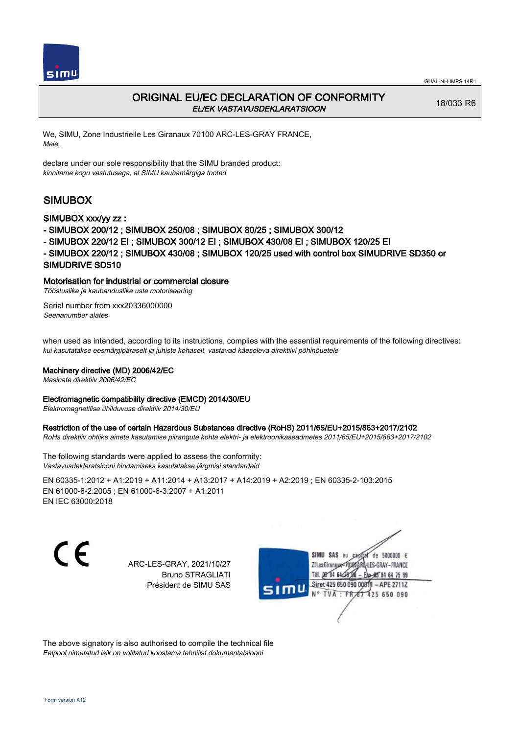



# ORIGINAL EU/EC DECLARATION OF CONFORMITY EL/EK VASTAVUSDEKLARATSIOON

18/033 R6

We, SIMU, Zone Industrielle Les Giranaux 70100 ARC-LES-GRAY FRANCE, Meie,

declare under our sole responsibility that the SIMU branded product: kinnitame kogu vastutusega, et SIMU kaubamärgiga tooted

# SIMUBOX

## SIMUBOX xxx/yy zz :

- SIMUBOX 200/12 ; SIMUBOX 250/08 ; SIMUBOX 80/25 ; SIMUBOX 300/12
- SIMUBOX 220/12 EI ; SIMUBOX 300/12 EI ; SIMUBOX 430/08 EI ; SIMUBOX 120/25 EI
- SIMUBOX 220/12 ; SIMUBOX 430/08 ; SIMUBOX 120/25 used with control box SIMUDRIVE SD350 or SIMUDRIVE SD510

## Motorisation for industrial or commercial closure

Tööstuslike ja kaubanduslike uste motoriseering

Serial number from xxx20336000000 Seerianumber alates

when used as intended, according to its instructions, complies with the essential requirements of the following directives: kui kasutatakse eesmärgipäraselt ja juhiste kohaselt, vastavad käesoleva direktiivi põhinõuetele

### Machinery directive (MD) 2006/42/EC

Masinate direktiiv 2006/42/EC

### Electromagnetic compatibility directive (EMCD) 2014/30/EU

Elektromagnetilise ühilduvuse direktiiv 2014/30/EU

#### Restriction of the use of certain Hazardous Substances directive (RoHS) 2011/65/EU+2015/863+2017/2102

RoHs direktiiv ohtlike ainete kasutamise piirangute kohta elektri- ja elektroonikaseadmetes 2011/65/EU+2015/863+2017/2102

The following standards were applied to assess the conformity: Vastavusdeklaratsiooni hindamiseks kasutatakse järgmisi standardeid

EN 60335‑1:2012 + A1:2019 + A11:2014 + A13:2017 + A14:2019 + A2:2019 ; EN 60335‑2‑103:2015 EN 61000‑6‑2:2005 ; EN 61000‑6‑3:2007 + A1:2011 EN IEC 63000:2018

C E

ARC-LES-GRAY, 2021/10/27 Bruno STRAGLIATI Président de SIMU SAS



The above signatory is also authorised to compile the technical file Eelpool nimetatud isik on volitatud koostama tehnilist dokumentatsiooni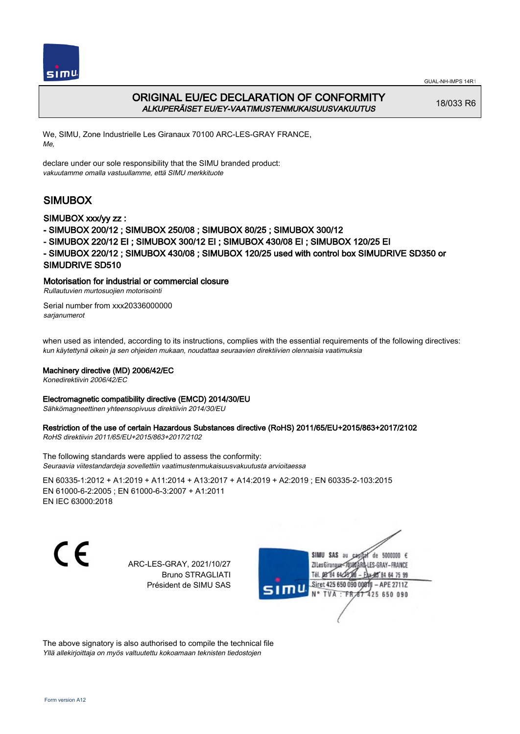



# ORIGINAL EU/EC DECLARATION OF CONFORMITY ALKUPERÄISET EU/EY-VAATIMUSTENMUKAISUUSVAKUUTUS

18/033 R6

We, SIMU, Zone Industrielle Les Giranaux 70100 ARC-LES-GRAY FRANCE, Me,

declare under our sole responsibility that the SIMU branded product: vakuutamme omalla vastuullamme, että SIMU merkkituote

# SIMUBOX

## SIMUBOX xxx/yy zz :

- SIMUBOX 200/12 ; SIMUBOX 250/08 ; SIMUBOX 80/25 ; SIMUBOX 300/12
- SIMUBOX 220/12 EI ; SIMUBOX 300/12 EI ; SIMUBOX 430/08 EI ; SIMUBOX 120/25 EI
- SIMUBOX 220/12 ; SIMUBOX 430/08 ; SIMUBOX 120/25 used with control box SIMUDRIVE SD350 or SIMUDRIVE SD510

## Motorisation for industrial or commercial closure

Rullautuvien murtosuojien motorisointi

Serial number from xxx20336000000 sarjanumerot

when used as intended, according to its instructions, complies with the essential requirements of the following directives: kun käytettynä oikein ja sen ohjeiden mukaan, noudattaa seuraavien direktiivien olennaisia vaatimuksia

### Machinery directive (MD) 2006/42/EC

Konedirektiivin 2006/42/EC

#### Electromagnetic compatibility directive (EMCD) 2014/30/EU

Sähkömagneettinen yhteensopivuus direktiivin 2014/30/EU

# Restriction of the use of certain Hazardous Substances directive (RoHS) 2011/65/EU+2015/863+2017/2102

RoHS direktiivin 2011/65/EU+2015/863+2017/2102

The following standards were applied to assess the conformity: Seuraavia viitestandardeja sovellettiin vaatimustenmukaisuusvakuutusta arvioitaessa

EN 60335‑1:2012 + A1:2019 + A11:2014 + A13:2017 + A14:2019 + A2:2019 ; EN 60335‑2‑103:2015 EN 61000‑6‑2:2005 ; EN 61000‑6‑3:2007 + A1:2011 EN IEC 63000:2018

CE

ARC-LES-GRAY, 2021/10/27 Bruno STRAGLIATI Président de SIMU SAS



The above signatory is also authorised to compile the technical file Yllä allekirjoittaja on myös valtuutettu kokoamaan teknisten tiedostojen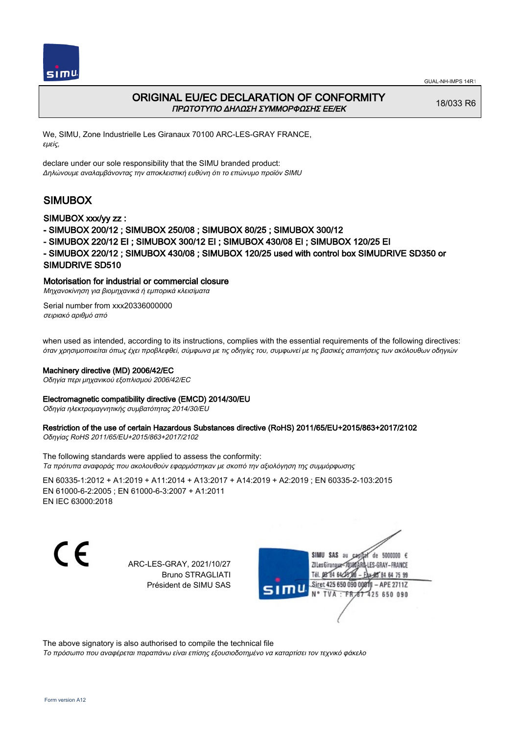



# ORIGINAL EU/EC DECLARATION OF CONFORMITY ΠΡΩΤΟΤΥΠΟ ΔΗΛΩΣΗ ΣΥΜΜΟΡΦΩΣΗΣ ΕΕ/EK

18/033 R6

We, SIMU, Zone Industrielle Les Giranaux 70100 ARC-LES-GRAY FRANCE, εμείς,

declare under our sole responsibility that the SIMU branded product: Δηλώνουμε αναλαμβάνοντας την αποκλειστική ευθύνη ότι το επώνυμο προϊόν SIMU

# SIMUBOX

### SIMUBOX xxx/yy zz :

- SIMUBOX 200/12 ; SIMUBOX 250/08 ; SIMUBOX 80/25 ; SIMUBOX 300/12
- SIMUBOX 220/12 EI ; SIMUBOX 300/12 EI ; SIMUBOX 430/08 EI ; SIMUBOX 120/25 EI
- SIMUBOX 220/12 ; SIMUBOX 430/08 ; SIMUBOX 120/25 used with control box SIMUDRIVE SD350 or SIMUDRIVE SD510

### Motorisation for industrial or commercial closure

Μηχανοκίνηση για βιομηχανικά ή εμπορικά κλεισίματα

Serial number from xxx20336000000 σειριακό αριθμό από

when used as intended, according to its instructions, complies with the essential requirements of the following directives: όταν χρησιμοποιείται όπως έχει προβλεφθεί, σύμφωνα με τις οδηγίες του, συμφωνεί με τις βασικές απαιτήσεις των ακόλουθων οδηγιών

#### Machinery directive (MD) 2006/42/EC

Οδηγία περι μηχανικού εξοπλισμού 2006/42/EC

### Electromagnetic compatibility directive (EMCD) 2014/30/EU

Οδηγία ηλεκτρομαγνητικής συμβατότητας 2014/30/EU

# Restriction of the use of certain Hazardous Substances directive (RoHS) 2011/65/EU+2015/863+2017/2102

Οδηγίας RoHS 2011/65/EU+2015/863+2017/2102

The following standards were applied to assess the conformity: Τα πρότυπα αναφοράς που ακολουθούν εφαρμόστηκαν με σκοπό την αξιολόγηση της συμμόρφωσης

EN 60335‑1:2012 + A1:2019 + A11:2014 + A13:2017 + A14:2019 + A2:2019 ; EN 60335‑2‑103:2015 EN 61000‑6‑2:2005 ; EN 61000‑6‑3:2007 + A1:2011 EN IEC 63000:2018

C E

ARC-LES-GRAY, 2021/10/27 Bruno STRAGLIATI Président de SIMU SAS



The above signatory is also authorised to compile the technical file

Το πρόσωπο που αναφέρεται παραπάνω είναι επίσης εξουσιοδοτημένο να καταρτίσει τον τεχνικό φάκελο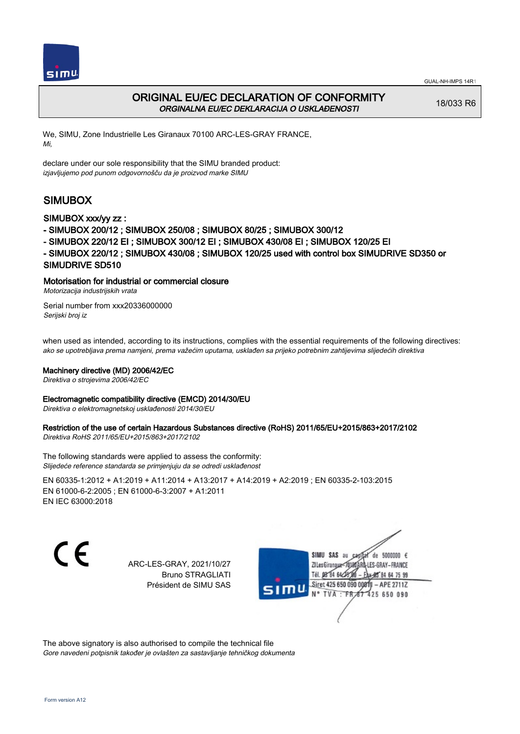



# ORIGINAL EU/EC DECLARATION OF CONFORMITY ORGINALNA EU/EC DEKLARACIJA O USKLAĐENOSTI

18/033 R6

We, SIMU, Zone Industrielle Les Giranaux 70100 ARC-LES-GRAY FRANCE, Mi,

declare under our sole responsibility that the SIMU branded product: izjavljujemo pod punom odgovornošču da je proizvod marke SIMU

# SIMUBOX

## SIMUBOX xxx/yy zz :

- SIMUBOX 200/12 ; SIMUBOX 250/08 ; SIMUBOX 80/25 ; SIMUBOX 300/12
- SIMUBOX 220/12 EI ; SIMUBOX 300/12 EI ; SIMUBOX 430/08 EI ; SIMUBOX 120/25 EI
- SIMUBOX 220/12 ; SIMUBOX 430/08 ; SIMUBOX 120/25 used with control box SIMUDRIVE SD350 or SIMUDRIVE SD510

## Motorisation for industrial or commercial closure

Motorizacija industrijskih vrata

Serial number from xxx20336000000 Serijski broj iz

when used as intended, according to its instructions, complies with the essential requirements of the following directives: ako se upotrebljava prema namjeni, prema važećim uputama, usklađen sa prijeko potrebnim zahtijevima slijedećih direktiva

### Machinery directive (MD) 2006/42/EC

Direktiva o strojevima 2006/42/EC

### Electromagnetic compatibility directive (EMCD) 2014/30/EU

Direktiva o elektromagnetskoj usklađenosti 2014/30/EU

# Restriction of the use of certain Hazardous Substances directive (RoHS) 2011/65/EU+2015/863+2017/2102

Direktiva RoHS 2011/65/EU+2015/863+2017/2102

The following standards were applied to assess the conformity: Slijedeće reference standarda se primjenjuju da se odredi usklađenost

EN 60335‑1:2012 + A1:2019 + A11:2014 + A13:2017 + A14:2019 + A2:2019 ; EN 60335‑2‑103:2015 EN 61000‑6‑2:2005 ; EN 61000‑6‑3:2007 + A1:2011 EN IEC 63000:2018

C E

ARC-LES-GRAY, 2021/10/27 Bruno STRAGLIATI Président de SIMU SAS



The above signatory is also authorised to compile the technical file Gore navedeni potpisnik također je ovlašten za sastavljanje tehničkog dokumenta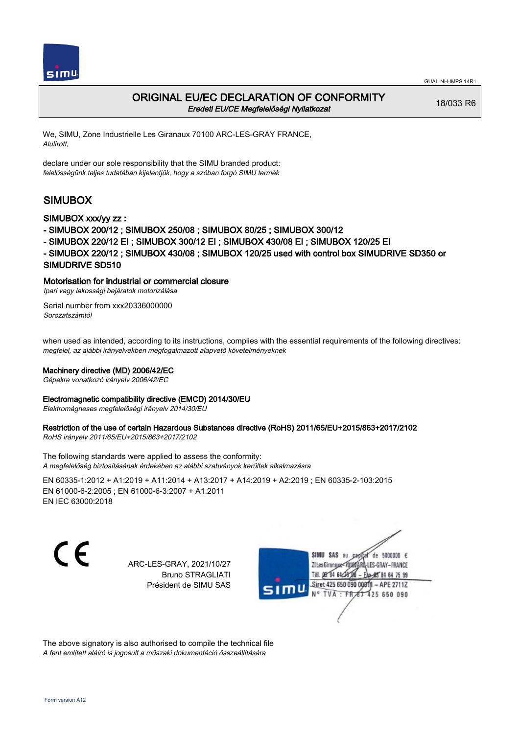



# ORIGINAL EU/EC DECLARATION OF CONFORMITY Eredeti EU/CE Megfelelőségi Nyilatkozat

18/033 R6

We, SIMU, Zone Industrielle Les Giranaux 70100 ARC-LES-GRAY FRANCE, Alulírott,

declare under our sole responsibility that the SIMU branded product: felelősségünk teljes tudatában kijelentjük, hogy a szóban forgó SIMU termék

# SIMUBOX

## SIMUBOX xxx/yy zz :

- SIMUBOX 200/12 ; SIMUBOX 250/08 ; SIMUBOX 80/25 ; SIMUBOX 300/12
- SIMUBOX 220/12 EI ; SIMUBOX 300/12 EI ; SIMUBOX 430/08 EI ; SIMUBOX 120/25 EI
- SIMUBOX 220/12 ; SIMUBOX 430/08 ; SIMUBOX 120/25 used with control box SIMUDRIVE SD350 or SIMUDRIVE SD510

## Motorisation for industrial or commercial closure

Ipari vagy lakossági bejáratok motorizálása

Serial number from xxx20336000000 Sorozatszámtól

when used as intended, according to its instructions, complies with the essential requirements of the following directives: megfelel, az alábbi irányelvekben megfogalmazott alapvető követelményeknek

### Machinery directive (MD) 2006/42/EC

Gépekre vonatkozó irányelv 2006/42/EC

### Electromagnetic compatibility directive (EMCD) 2014/30/EU

Elektromágneses megfelelőségi irányelv 2014/30/EU

# Restriction of the use of certain Hazardous Substances directive (RoHS) 2011/65/EU+2015/863+2017/2102

RoHS irányelv 2011/65/EU+2015/863+2017/2102

The following standards were applied to assess the conformity: A megfelelőség biztosításának érdekében az alábbi szabványok kerültek alkalmazásra

EN 60335‑1:2012 + A1:2019 + A11:2014 + A13:2017 + A14:2019 + A2:2019 ; EN 60335‑2‑103:2015 EN 61000‑6‑2:2005 ; EN 61000‑6‑3:2007 + A1:2011 EN IEC 63000:2018

C E

ARC-LES-GRAY, 2021/10/27 Bruno STRAGLIATI Président de SIMU SAS



The above signatory is also authorised to compile the technical file A fent említett aláíró is jogosult a műszaki dokumentáció összeállítására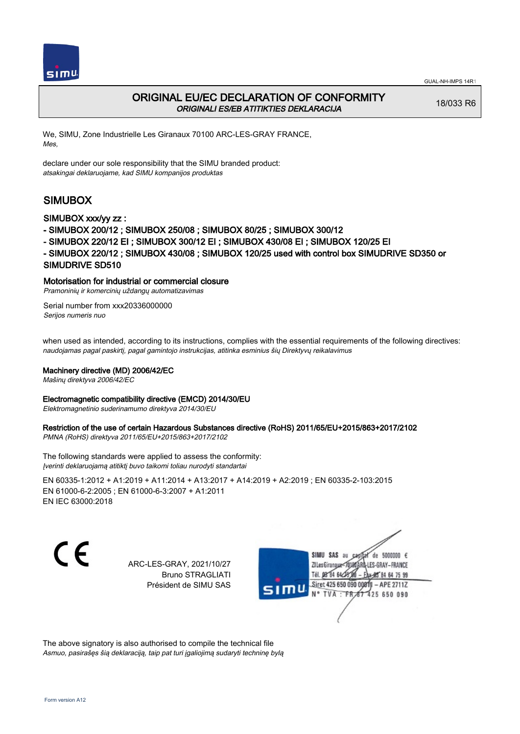



# ORIGINAL EU/EC DECLARATION OF CONFORMITY ORIGINALI ES/EB ATITIKTIES DEKLARACIJA

18/033 R6

We, SIMU, Zone Industrielle Les Giranaux 70100 ARC-LES-GRAY FRANCE, Mes,

declare under our sole responsibility that the SIMU branded product: atsakingai deklaruojame, kad SIMU kompanijos produktas

# SIMUBOX

## SIMUBOX xxx/yy zz :

- SIMUBOX 200/12 ; SIMUBOX 250/08 ; SIMUBOX 80/25 ; SIMUBOX 300/12
- SIMUBOX 220/12 EI ; SIMUBOX 300/12 EI ; SIMUBOX 430/08 EI ; SIMUBOX 120/25 EI
- SIMUBOX 220/12 ; SIMUBOX 430/08 ; SIMUBOX 120/25 used with control box SIMUDRIVE SD350 or SIMUDRIVE SD510

## Motorisation for industrial or commercial closure

Pramoninių ir komercinių uždangų automatizavimas

Serial number from xxx20336000000 Serijos numeris nuo

when used as intended, according to its instructions, complies with the essential requirements of the following directives: naudojamas pagal paskirtį, pagal gamintojo instrukcijas, atitinka esminius šių Direktyvų reikalavimus

### Machinery directive (MD) 2006/42/EC

Mašinų direktyva 2006/42/EC

#### Electromagnetic compatibility directive (EMCD) 2014/30/EU

Elektromagnetinio suderinamumo direktyva 2014/30/EU

# Restriction of the use of certain Hazardous Substances directive (RoHS) 2011/65/EU+2015/863+2017/2102

PMNA (RoHS) direktyva 2011/65/EU+2015/863+2017/2102

The following standards were applied to assess the conformity: Įverinti deklaruojamą atitiktį buvo taikomi toliau nurodyti standartai

EN 60335‑1:2012 + A1:2019 + A11:2014 + A13:2017 + A14:2019 + A2:2019 ; EN 60335‑2‑103:2015 EN 61000‑6‑2:2005 ; EN 61000‑6‑3:2007 + A1:2011 EN IEC 63000:2018

C E

ARC-LES-GRAY, 2021/10/27 Bruno STRAGLIATI Président de SIMU SAS



The above signatory is also authorised to compile the technical file Asmuo, pasirašęs šią deklaraciją, taip pat turi įgaliojimą sudaryti techninę bylą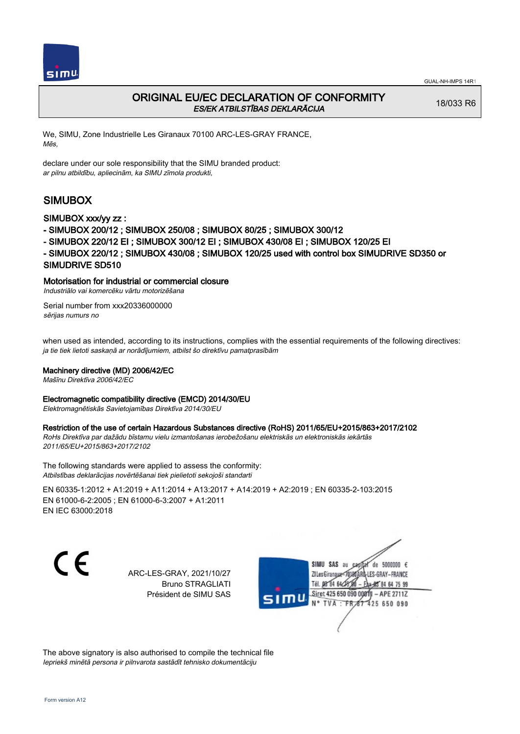

# ORIGINAL EU/EC DECLARATION OF CONFORMITY ES/EK ATBILSTĪBAS DEKLARĀCIJA

18/033 R6

We, SIMU, Zone Industrielle Les Giranaux 70100 ARC-LES-GRAY FRANCE, Mēs,

declare under our sole responsibility that the SIMU branded product: ar pilnu atbildību, apliecinām, ka SIMU zīmola produkti,

# SIMUBOX

## SIMUBOX xxx/yy zz :

- SIMUBOX 200/12 ; SIMUBOX 250/08 ; SIMUBOX 80/25 ; SIMUBOX 300/12
- SIMUBOX 220/12 EI ; SIMUBOX 300/12 EI ; SIMUBOX 430/08 EI ; SIMUBOX 120/25 EI
- SIMUBOX 220/12 ; SIMUBOX 430/08 ; SIMUBOX 120/25 used with control box SIMUDRIVE SD350 or SIMUDRIVE SD510

## Motorisation for industrial or commercial closure

Industriālo vai komercēku vārtu motorizēšana

Serial number from xxx20336000000 sērijas numurs no

when used as intended, according to its instructions, complies with the essential requirements of the following directives: ja tie tiek lietoti saskaņā ar norādījumiem, atbilst šo direktīvu pamatprasībām

### Machinery directive (MD) 2006/42/EC

Mašīnu Direktīva 2006/42/EC

### Electromagnetic compatibility directive (EMCD) 2014/30/EU

Elektromagnētiskās Savietojamības Direktīva 2014/30/EU

## Restriction of the use of certain Hazardous Substances directive (RoHS) 2011/65/EU+2015/863+2017/2102

RoHs Direktīva par dažādu bīstamu vielu izmantošanas ierobežošanu elektriskās un elektroniskās iekārtās 2011/65/EU+2015/863+2017/2102

The following standards were applied to assess the conformity: Atbilstības deklarācijas novērtēšanai tiek pielietoti sekojoši standarti

EN 60335‑1:2012 + A1:2019 + A11:2014 + A13:2017 + A14:2019 + A2:2019 ; EN 60335‑2‑103:2015 EN 61000‑6‑2:2005 ; EN 61000‑6‑3:2007 + A1:2011 EN IEC 63000:2018

C E

ARC-LES-GRAY, 2021/10/27 Bruno STRAGLIATI Président de SIMU SAS



The above signatory is also authorised to compile the technical file Iepriekš minētā persona ir pilnvarota sastādīt tehnisko dokumentāciju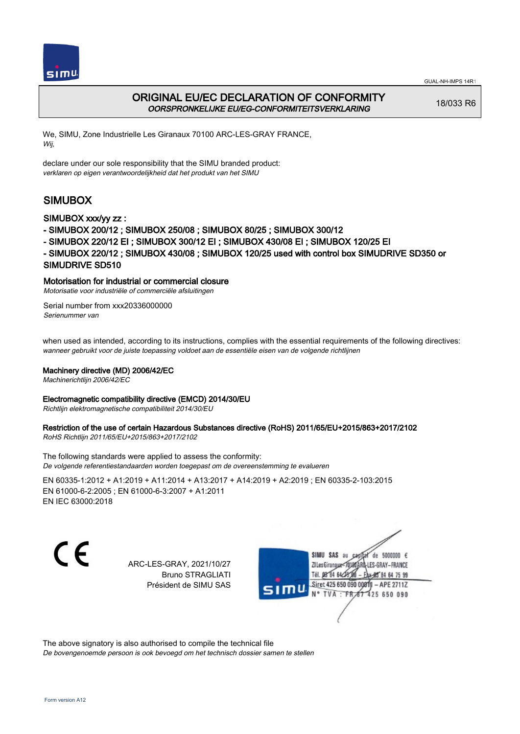



# ORIGINAL EU/EC DECLARATION OF CONFORMITY OORSPRONKELIJKE EU/EG-CONFORMITEITSVERKLARING

18/033 R6

We, SIMU, Zone Industrielle Les Giranaux 70100 ARC-LES-GRAY FRANCE, Wij,

declare under our sole responsibility that the SIMU branded product: verklaren op eigen verantwoordelijkheid dat het produkt van het SIMU

# SIMUBOX

## SIMUBOX xxx/yy zz :

- SIMUBOX 200/12 ; SIMUBOX 250/08 ; SIMUBOX 80/25 ; SIMUBOX 300/12
- SIMUBOX 220/12 EI ; SIMUBOX 300/12 EI ; SIMUBOX 430/08 EI ; SIMUBOX 120/25 EI
- SIMUBOX 220/12 ; SIMUBOX 430/08 ; SIMUBOX 120/25 used with control box SIMUDRIVE SD350 or SIMUDRIVE SD510

## Motorisation for industrial or commercial closure

Motorisatie voor industriële of commerciële afsluitingen

Serial number from xxx20336000000 Serienummer van

when used as intended, according to its instructions, complies with the essential requirements of the following directives: wanneer gebruikt voor de juiste toepassing voldoet aan de essentiële eisen van de volgende richtlijnen

### Machinery directive (MD) 2006/42/EC

Machinerichtlijn 2006/42/EC

#### Electromagnetic compatibility directive (EMCD) 2014/30/EU

Richtlijn elektromagnetische compatibiliteit 2014/30/EU

# Restriction of the use of certain Hazardous Substances directive (RoHS) 2011/65/EU+2015/863+2017/2102

RoHS Richtlijn 2011/65/EU+2015/863+2017/2102

The following standards were applied to assess the conformity: De volgende referentiestandaarden worden toegepast om de overeenstemming te evalueren

EN 60335‑1:2012 + A1:2019 + A11:2014 + A13:2017 + A14:2019 + A2:2019 ; EN 60335‑2‑103:2015 EN 61000‑6‑2:2005 ; EN 61000‑6‑3:2007 + A1:2011 EN IEC 63000:2018

C E

ARC-LES-GRAY, 2021/10/27 Bruno STRAGLIATI Président de SIMU SAS



The above signatory is also authorised to compile the technical file De bovengenoemde persoon is ook bevoegd om het technisch dossier samen te stellen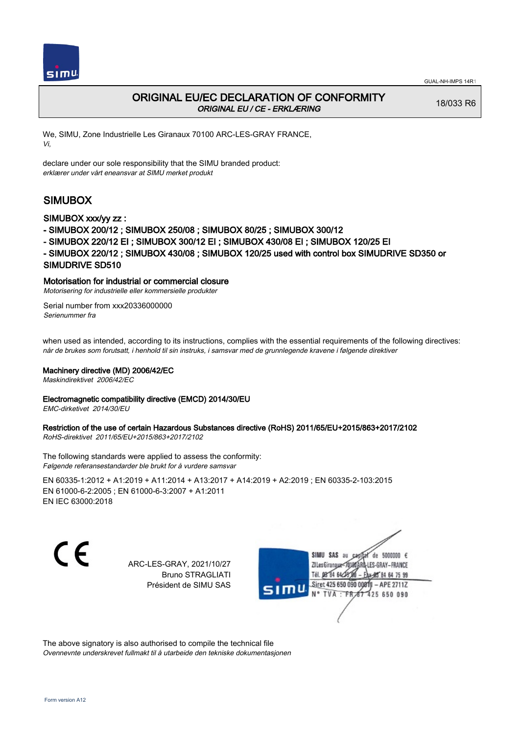

# ORIGINAL EU/EC DECLARATION OF CONFORMITY ORIGINAL EU / CE - ERKLÆRING

18/033 R6

We, SIMU, Zone Industrielle Les Giranaux 70100 ARC-LES-GRAY FRANCE, Vi,

declare under our sole responsibility that the SIMU branded product: erklærer under vårt eneansvar at SIMU merket produkt

# SIMUBOX

## SIMUBOX xxx/yy zz :

- SIMUBOX 200/12 ; SIMUBOX 250/08 ; SIMUBOX 80/25 ; SIMUBOX 300/12
- SIMUBOX 220/12 EI ; SIMUBOX 300/12 EI ; SIMUBOX 430/08 EI ; SIMUBOX 120/25 EI
- SIMUBOX 220/12 ; SIMUBOX 430/08 ; SIMUBOX 120/25 used with control box SIMUDRIVE SD350 or SIMUDRIVE SD510

## Motorisation for industrial or commercial closure

Motorisering for industrielle eller kommersielle produkter

Serial number from xxx20336000000 Serienummer fra

when used as intended, according to its instructions, complies with the essential requirements of the following directives: når de brukes som forutsatt, i henhold til sin instruks, i samsvar med de grunnlegende kravene i følgende direktiver

### Machinery directive (MD) 2006/42/EC

Maskindirektivet 2006/42/EC

# Electromagnetic compatibility directive (EMCD) 2014/30/EU

EMC-dirketivet 2014/30/EU

# Restriction of the use of certain Hazardous Substances directive (RoHS) 2011/65/EU+2015/863+2017/2102

RoHS-direktivet 2011/65/EU+2015/863+2017/2102

The following standards were applied to assess the conformity: Følgende referansestandarder ble brukt for å vurdere samsvar

EN 60335‑1:2012 + A1:2019 + A11:2014 + A13:2017 + A14:2019 + A2:2019 ; EN 60335‑2‑103:2015 EN 61000‑6‑2:2005 ; EN 61000‑6‑3:2007 + A1:2011 EN IEC 63000:2018

CE

ARC-LES-GRAY, 2021/10/27 Bruno STRAGLIATI Président de SIMU SAS



The above signatory is also authorised to compile the technical file Ovennevnte underskrevet fullmakt til å utarbeide den tekniske dokumentasjonen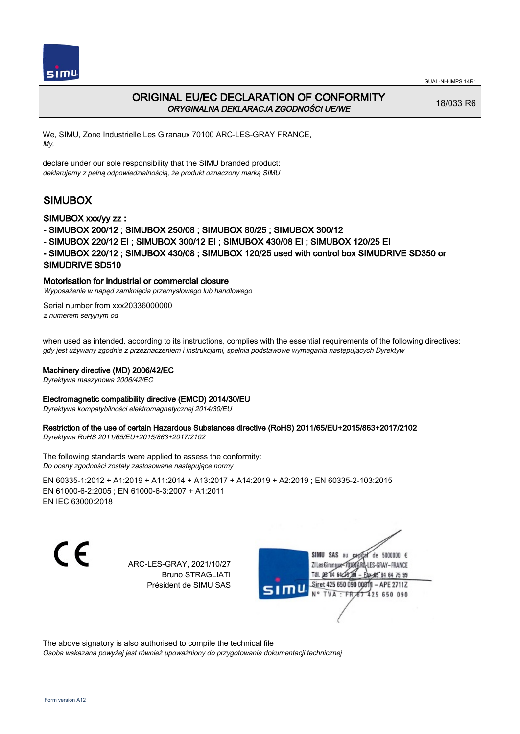



# ORIGINAL EU/EC DECLARATION OF CONFORMITY ORYGINALNA DEKLARACJA ZGODNOŚCI UE/WE

18/033 R6

We, SIMU, Zone Industrielle Les Giranaux 70100 ARC-LES-GRAY FRANCE, My,

declare under our sole responsibility that the SIMU branded product: deklarujemy z pełną odpowiedzialnością, że produkt oznaczony marką SIMU

# SIMUBOX

## SIMUBOX xxx/yy zz :

- SIMUBOX 200/12 ; SIMUBOX 250/08 ; SIMUBOX 80/25 ; SIMUBOX 300/12
- SIMUBOX 220/12 EI ; SIMUBOX 300/12 EI ; SIMUBOX 430/08 EI ; SIMUBOX 120/25 EI
- SIMUBOX 220/12 ; SIMUBOX 430/08 ; SIMUBOX 120/25 used with control box SIMUDRIVE SD350 or SIMUDRIVE SD510

## Motorisation for industrial or commercial closure

Wyposażenie w napęd zamknięcia przemysłowego lub handlowego

Serial number from xxx20336000000 z numerem seryjnym od

when used as intended, according to its instructions, complies with the essential requirements of the following directives: gdy jest używany zgodnie z przeznaczeniem i instrukcjami, spełnia podstawowe wymagania następujących Dyrektyw

#### Machinery directive (MD) 2006/42/EC

Dyrektywa maszynowa 2006/42/EC

#### Electromagnetic compatibility directive (EMCD) 2014/30/EU

Dyrektywa kompatybilności elektromagnetycznej 2014/30/EU

# Restriction of the use of certain Hazardous Substances directive (RoHS) 2011/65/EU+2015/863+2017/2102

Dyrektywa RoHS 2011/65/EU+2015/863+2017/2102

The following standards were applied to assess the conformity: Do oceny zgodności zostały zastosowane następujące normy

EN 60335‑1:2012 + A1:2019 + A11:2014 + A13:2017 + A14:2019 + A2:2019 ; EN 60335‑2‑103:2015 EN 61000‑6‑2:2005 ; EN 61000‑6‑3:2007 + A1:2011 EN IEC 63000:2018

C E

ARC-LES-GRAY, 2021/10/27 Bruno STRAGLIATI Président de SIMU SAS



The above signatory is also authorised to compile the technical file

Osoba wskazana powyżej jest również upoważniony do przygotowania dokumentacji technicznej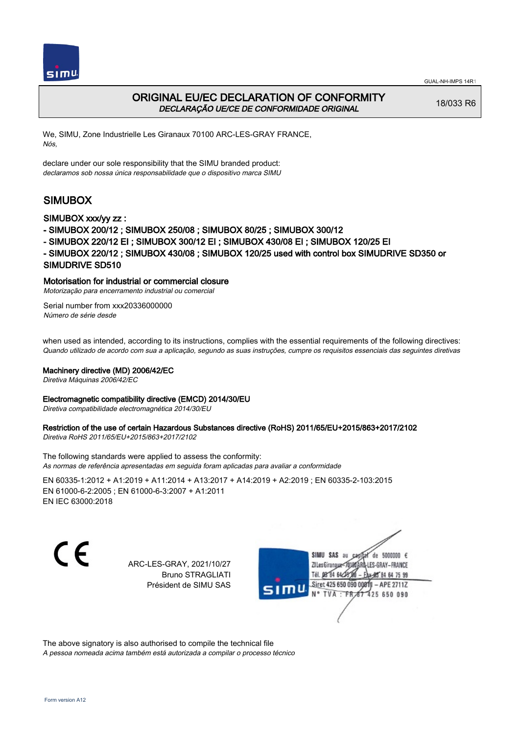



# ORIGINAL EU/EC DECLARATION OF CONFORMITY DECLARAÇÃO UE/CE DE CONFORMIDADE ORIGINAL

18/033 R6

We, SIMU, Zone Industrielle Les Giranaux 70100 ARC-LES-GRAY FRANCE, Nós,

declare under our sole responsibility that the SIMU branded product: declaramos sob nossa única responsabilidade que o dispositivo marca SIMU

# SIMUBOX

## SIMUBOX xxx/yy zz :

- SIMUBOX 200/12 ; SIMUBOX 250/08 ; SIMUBOX 80/25 ; SIMUBOX 300/12
- SIMUBOX 220/12 EI ; SIMUBOX 300/12 EI ; SIMUBOX 430/08 EI ; SIMUBOX 120/25 EI
- SIMUBOX 220/12 ; SIMUBOX 430/08 ; SIMUBOX 120/25 used with control box SIMUDRIVE SD350 or SIMUDRIVE SD510

## Motorisation for industrial or commercial closure

Motorização para encerramento industrial ou comercial

Serial number from xxx20336000000 Número de série desde

when used as intended, according to its instructions, complies with the essential requirements of the following directives: Quando utilizado de acordo com sua a aplicação, segundo as suas instruções, cumpre os requisitos essenciais das seguintes diretivas

### Machinery directive (MD) 2006/42/EC

Diretiva Máquinas 2006/42/EC

### Electromagnetic compatibility directive (EMCD) 2014/30/EU

Diretiva compatibilidade electromagnética 2014/30/EU

# Restriction of the use of certain Hazardous Substances directive (RoHS) 2011/65/EU+2015/863+2017/2102

Diretiva RoHS 2011/65/EU+2015/863+2017/2102

The following standards were applied to assess the conformity: As normas de referência apresentadas em seguida foram aplicadas para avaliar a conformidade

EN 60335‑1:2012 + A1:2019 + A11:2014 + A13:2017 + A14:2019 + A2:2019 ; EN 60335‑2‑103:2015 EN 61000‑6‑2:2005 ; EN 61000‑6‑3:2007 + A1:2011 EN IEC 63000:2018

C E

ARC-LES-GRAY, 2021/10/27 Bruno STRAGLIATI Président de SIMU SAS



The above signatory is also authorised to compile the technical file A pessoa nomeada acima também está autorizada a compilar o processo técnico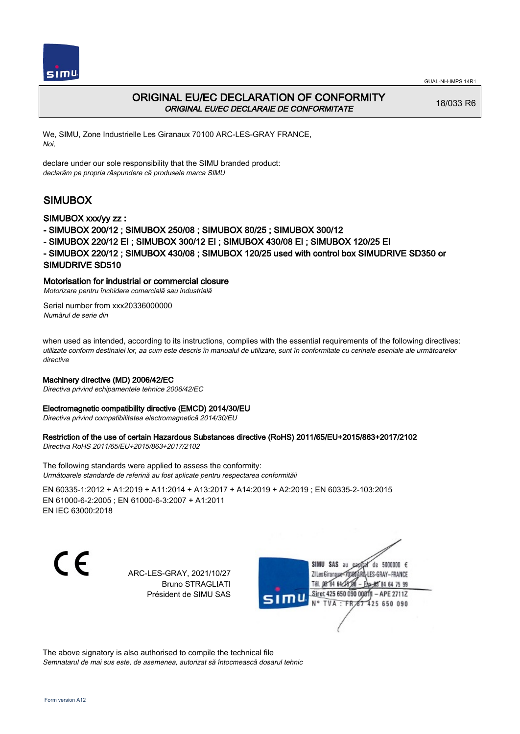



# ORIGINAL EU/EC DECLARATION OF CONFORMITY ORIGINAL EU/EC DECLARAIE DE CONFORMITATE

18/033 R6

We, SIMU, Zone Industrielle Les Giranaux 70100 ARC-LES-GRAY FRANCE, Noi,

declare under our sole responsibility that the SIMU branded product: declarăm pe propria răspundere că produsele marca SIMU

# SIMUBOX

## SIMUBOX xxx/yy zz :

- SIMUBOX 200/12 ; SIMUBOX 250/08 ; SIMUBOX 80/25 ; SIMUBOX 300/12
- SIMUBOX 220/12 EI ; SIMUBOX 300/12 EI ; SIMUBOX 430/08 EI ; SIMUBOX 120/25 EI
- SIMUBOX 220/12 ; SIMUBOX 430/08 ; SIMUBOX 120/25 used with control box SIMUDRIVE SD350 or SIMUDRIVE SD510

### Motorisation for industrial or commercial closure

Motorizare pentru închidere comercială sau industrială

Serial number from xxx20336000000 Numărul de serie din

when used as intended, according to its instructions, complies with the essential requirements of the following directives: utilizate conform destinaiei lor, aa cum este descris în manualul de utilizare, sunt în conformitate cu cerinele eseniale ale următoarelor directive

### Machinery directive (MD) 2006/42/EC

Directiva privind echipamentele tehnice 2006/42/EC

#### Electromagnetic compatibility directive (EMCD) 2014/30/EU

Directiva privind compatibilitatea electromagnetică 2014/30/EU

### Restriction of the use of certain Hazardous Substances directive (RoHS) 2011/65/EU+2015/863+2017/2102

Directiva RoHS 2011/65/EU+2015/863+2017/2102

The following standards were applied to assess the conformity: Următoarele standarde de referină au fost aplicate pentru respectarea conformităii

EN 60335‑1:2012 + A1:2019 + A11:2014 + A13:2017 + A14:2019 + A2:2019 ; EN 60335‑2‑103:2015 EN 61000‑6‑2:2005 ; EN 61000‑6‑3:2007 + A1:2011 EN IEC 63000:2018

C E

ARC-LES-GRAY, 2021/10/27 Bruno STRAGLIATI Président de SIMU SAS



The above signatory is also authorised to compile the technical file Semnatarul de mai sus este, de asemenea, autorizat să întocmească dosarul tehnic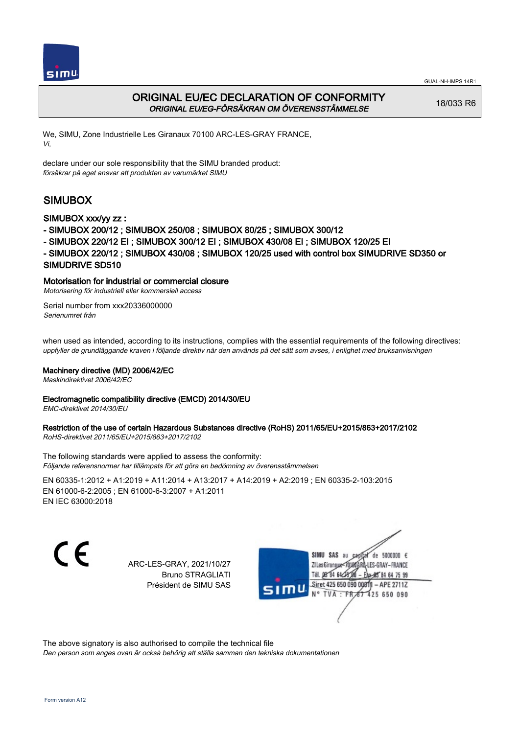



# ORIGINAL EU/EC DECLARATION OF CONFORMITY ORIGINAL EU/EG-FÖRSÄKRAN OM ÖVERENSSTÄMMELSE

18/033 R6

We, SIMU, Zone Industrielle Les Giranaux 70100 ARC-LES-GRAY FRANCE, Vi,

declare under our sole responsibility that the SIMU branded product: försäkrar på eget ansvar att produkten av varumärket SIMU

# SIMUBOX

## SIMUBOX xxx/yy zz :

- SIMUBOX 200/12 ; SIMUBOX 250/08 ; SIMUBOX 80/25 ; SIMUBOX 300/12
- SIMUBOX 220/12 EI ; SIMUBOX 300/12 EI ; SIMUBOX 430/08 EI ; SIMUBOX 120/25 EI
- SIMUBOX 220/12 ; SIMUBOX 430/08 ; SIMUBOX 120/25 used with control box SIMUDRIVE SD350 or SIMUDRIVE SD510

## Motorisation for industrial or commercial closure

Motorisering för industriell eller kommersiell access

Serial number from xxx20336000000 Serienumret från

when used as intended, according to its instructions, complies with the essential requirements of the following directives: uppfyller de grundläggande kraven i följande direktiv när den används på det sätt som avses, i enlighet med bruksanvisningen

### Machinery directive (MD) 2006/42/EC

Maskindirektivet 2006/42/EC

# Electromagnetic compatibility directive (EMCD) 2014/30/EU

EMC-direktivet 2014/30/EU

# Restriction of the use of certain Hazardous Substances directive (RoHS) 2011/65/EU+2015/863+2017/2102

RoHS-direktivet 2011/65/EU+2015/863+2017/2102

The following standards were applied to assess the conformity: Följande referensnormer har tillämpats för att göra en bedömning av överensstämmelsen

EN 60335‑1:2012 + A1:2019 + A11:2014 + A13:2017 + A14:2019 + A2:2019 ; EN 60335‑2‑103:2015 EN 61000‑6‑2:2005 ; EN 61000‑6‑3:2007 + A1:2011 EN IEC 63000:2018

C E

ARC-LES-GRAY, 2021/10/27 Bruno STRAGLIATI Président de SIMU SAS



The above signatory is also authorised to compile the technical file

Den person som anges ovan är också behörig att ställa samman den tekniska dokumentationen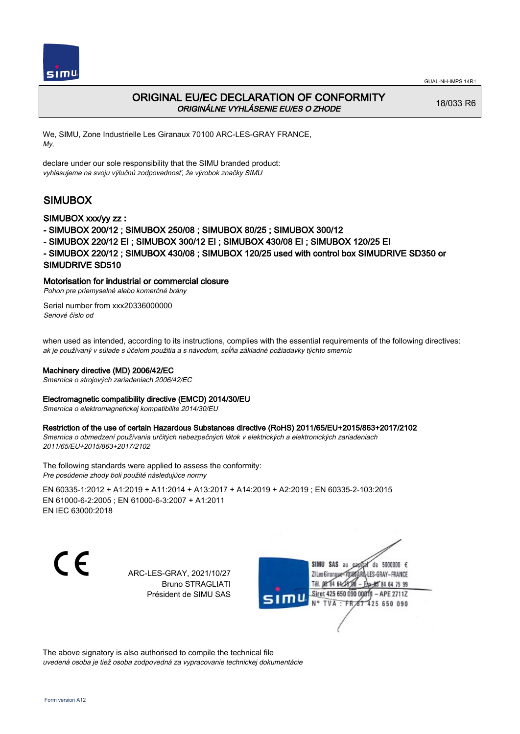

# ORIGINAL EU/EC DECLARATION OF CONFORMITY ORIGINÁLNE VYHLÁSENIE EU/ES O ZHODE

18/033 R6

We, SIMU, Zone Industrielle Les Giranaux 70100 ARC-LES-GRAY FRANCE, My,

declare under our sole responsibility that the SIMU branded product: vyhlasujeme na svoju výlučnú zodpovednosť, že výrobok značky SIMU

# SIMUBOX

## SIMUBOX xxx/yy zz :

- SIMUBOX 200/12 ; SIMUBOX 250/08 ; SIMUBOX 80/25 ; SIMUBOX 300/12
- SIMUBOX 220/12 EI ; SIMUBOX 300/12 EI ; SIMUBOX 430/08 EI ; SIMUBOX 120/25 EI
- SIMUBOX 220/12 ; SIMUBOX 430/08 ; SIMUBOX 120/25 used with control box SIMUDRIVE SD350 or SIMUDRIVE SD510

## Motorisation for industrial or commercial closure

Pohon pre priemyselné alebo komerčné brány

Serial number from xxx20336000000 Seriové číslo od

when used as intended, according to its instructions, complies with the essential requirements of the following directives: ak je používaný v súlade s účelom použitia a s návodom, spĺňa základné požiadavky týchto smerníc

### Machinery directive (MD) 2006/42/EC

Smernica o strojových zariadeniach 2006/42/EC

### Electromagnetic compatibility directive (EMCD) 2014/30/EU

Smernica o elektromagnetickej kompatibilite 2014/30/EU

### Restriction of the use of certain Hazardous Substances directive (RoHS) 2011/65/EU+2015/863+2017/2102

Smernica o obmedzení používania určitých nebezpečných látok v elektrických a elektronických zariadeniach 2011/65/EU+2015/863+2017/2102

The following standards were applied to assess the conformity: Pre posúdenie zhody boli použité následujúce normy

EN 60335‑1:2012 + A1:2019 + A11:2014 + A13:2017 + A14:2019 + A2:2019 ; EN 60335‑2‑103:2015 EN 61000‑6‑2:2005 ; EN 61000‑6‑3:2007 + A1:2011 EN IEC 63000:2018

C E

ARC-LES-GRAY, 2021/10/27 Bruno STRAGLIATI Président de SIMU SAS



The above signatory is also authorised to compile the technical file uvedená osoba je tiež osoba zodpovedná za vypracovanie technickej dokumentácie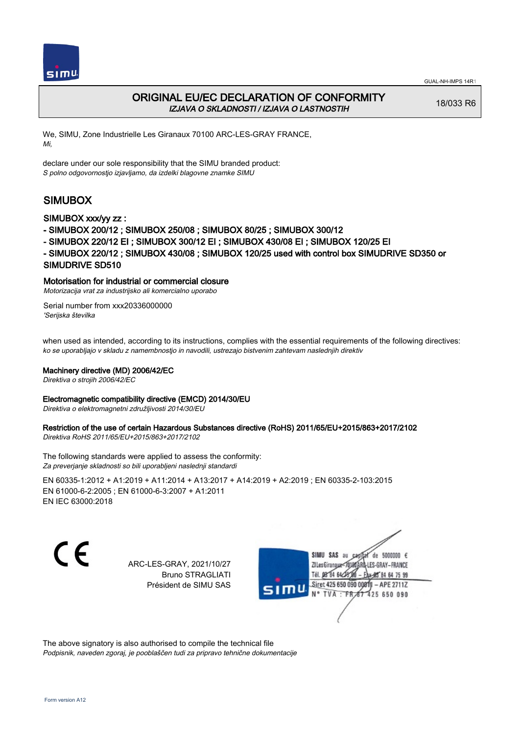



# ORIGINAL EU/EC DECLARATION OF CONFORMITY IZJAVA O SKLADNOSTI / IZJAVA O LASTNOSTIH

18/033 R6

We, SIMU, Zone Industrielle Les Giranaux 70100 ARC-LES-GRAY FRANCE, Mi,

declare under our sole responsibility that the SIMU branded product: S polno odgovornostjo izjavljamo, da izdelki blagovne znamke SIMU

# SIMUBOX

## SIMUBOX xxx/yy zz :

- SIMUBOX 200/12 ; SIMUBOX 250/08 ; SIMUBOX 80/25 ; SIMUBOX 300/12
- SIMUBOX 220/12 EI ; SIMUBOX 300/12 EI ; SIMUBOX 430/08 EI ; SIMUBOX 120/25 EI
- SIMUBOX 220/12 ; SIMUBOX 430/08 ; SIMUBOX 120/25 used with control box SIMUDRIVE SD350 or SIMUDRIVE SD510

## Motorisation for industrial or commercial closure

Motorizacija vrat za industrijsko ali komercialno uporabo

Serial number from xxx20336000000 'Serijska številka

when used as intended, according to its instructions, complies with the essential requirements of the following directives: ko se uporabljajo v skladu z namembnostjo in navodili, ustrezajo bistvenim zahtevam naslednjih direktiv

### Machinery directive (MD) 2006/42/EC

Direktiva o strojih 2006/42/EC

### Electromagnetic compatibility directive (EMCD) 2014/30/EU

Direktiva o elektromagnetni združljivosti 2014/30/EU

# Restriction of the use of certain Hazardous Substances directive (RoHS) 2011/65/EU+2015/863+2017/2102

Direktiva RoHS 2011/65/EU+2015/863+2017/2102

The following standards were applied to assess the conformity: Za preverjanje skladnosti so bili uporabljeni naslednji standardi

EN 60335‑1:2012 + A1:2019 + A11:2014 + A13:2017 + A14:2019 + A2:2019 ; EN 60335‑2‑103:2015 EN 61000‑6‑2:2005 ; EN 61000‑6‑3:2007 + A1:2011 EN IEC 63000:2018

C E

ARC-LES-GRAY, 2021/10/27 Bruno STRAGLIATI Président de SIMU SAS



The above signatory is also authorised to compile the technical file Podpisnik, naveden zgoraj, je pooblaščen tudi za pripravo tehnične dokumentacije